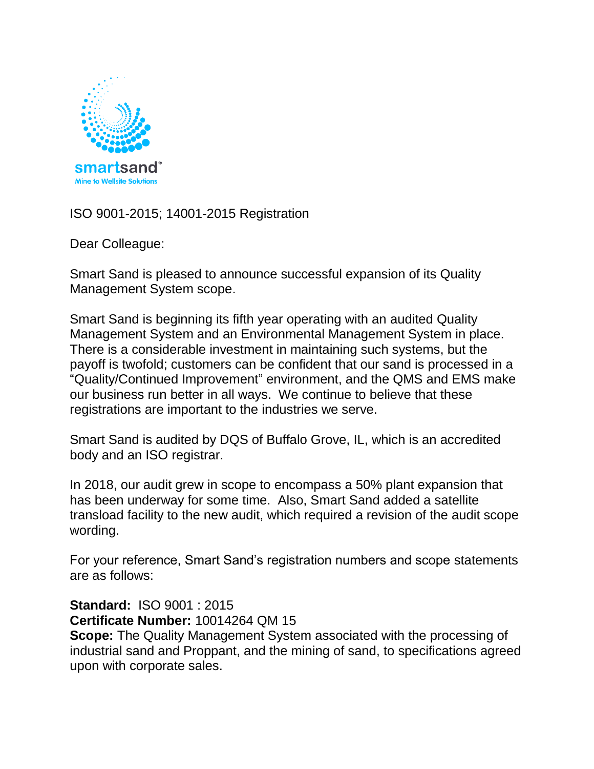

ISO 9001-2015; 14001-2015 Registration

Dear Colleague:

Smart Sand is pleased to announce successful expansion of its Quality Management System scope.

Smart Sand is beginning its fifth year operating with an audited Quality Management System and an Environmental Management System in place. There is a considerable investment in maintaining such systems, but the payoff is twofold; customers can be confident that our sand is processed in a "Quality/Continued Improvement" environment, and the QMS and EMS make our business run better in all ways. We continue to believe that these registrations are important to the industries we serve.

Smart Sand is audited by DQS of Buffalo Grove, IL, which is an accredited body and an ISO registrar.

In 2018, our audit grew in scope to encompass a 50% plant expansion that has been underway for some time. Also, Smart Sand added a satellite transload facility to the new audit, which required a revision of the audit scope wording.

For your reference, Smart Sand's registration numbers and scope statements are as follows:

**Standard:** ISO 9001 : 2015 **Certificate Number:** 10014264 QM 15 **Scope:** The Quality Management System associated with the processing of industrial sand and Proppant, and the mining of sand, to specifications agreed upon with corporate sales.